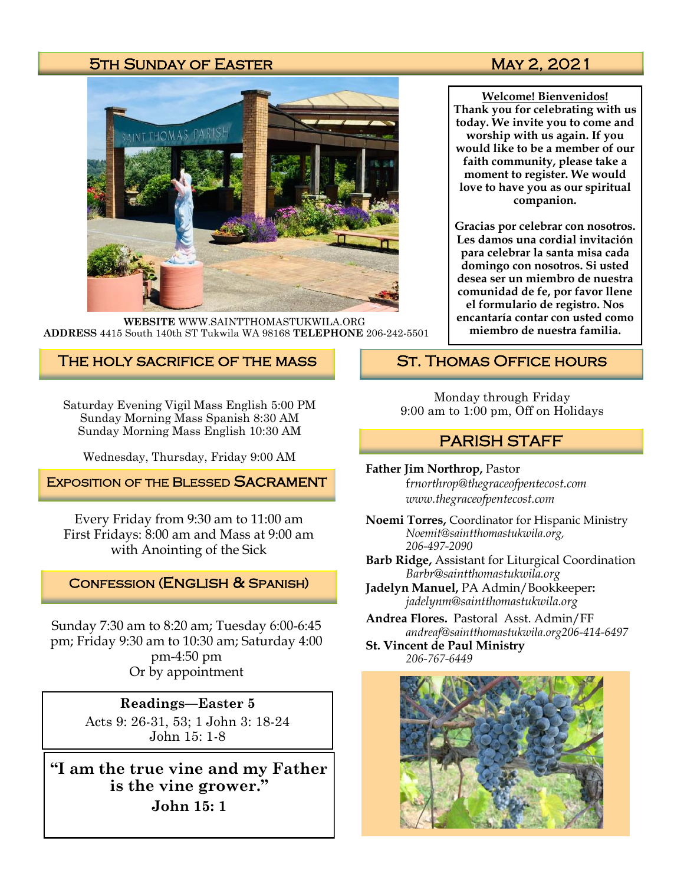## 5TH SUNDAY OF EASTER MAY 2, 2021



**WEBSITE** WWW.SAINTTHOMASTUKWILA.ORG **ADDRESS** 4415 South 140th ST Tukwila WA 98168 **TELEPHONE** 206-242-5501

## The holy sacrifice of the mass

Saturday Evening Vigil Mass English 5:00 PM Sunday Morning Mass Spanish 8:30 AM Sunday Morning Mass English 10:30 AM

Wednesday, Thursday, Friday 9:00 AM

**EXPOSITION OF THE BLESSED SACRAMENT** 

Every Friday from 9:30 am to 11:00 am First Fridays: 8:00 am and Mass at 9:00 am with Anointing of the Sick

#### Confession (English & Spanish)

Sunday 7:30 am to 8:20 am; Tuesday 6:00-6:45 pm; Friday 9:30 am to 10:30 am; Saturday 4:00 pm-4:50 pm Or by appointment

> **Readings—Easter 5** Acts 9: 26-31, 53; 1 John 3: 18-24 John 15: 1-8

**"I am the true vine and my Father is the vine grower." John 15: 1**

**Welcome! Bienvenidos! Thank you for celebrating with us today. We invite you to come and worship with us again. If you would like to be a member of our faith community, please take a moment to register. We would love to have you as our spiritual companion.** 

**Gracias por celebrar con nosotros. Les damos una cordial invitación para celebrar la santa misa cada domingo con nosotros. Si usted desea ser un miembro de nuestra comunidad de fe, por favor llene el formulario de registro. Nos encantaría contar con usted como miembro de nuestra familia.**

## St. Thomas Office hours

Monday through Friday 9:00 am to 1:00 pm, Off on Holidays

## PARISH STAFF

**Father Jim Northrop,** Pastor f*rnorthrop@thegraceofpentecost.com www.thegraceofpentecost.com* 

**Noemi Torres,** Coordinator for Hispanic Ministry *Noemit@saintthomastukwila.org, 206-497-2090*

**Barb Ridge,** Assistant for Liturgical Coordination *Barbr@saintthomastukwila.org*

**Jadelyn Manuel,** PA Admin/Bookkeeper**:**  *jadelynm@saintthomastukwila.org*

**Andrea Flores.** Pastoral Asst. Admin/FF *andreaf@saintthomastukwila.org206-414-6497*

**St. Vincent de Paul Ministry** *206-767-6449*

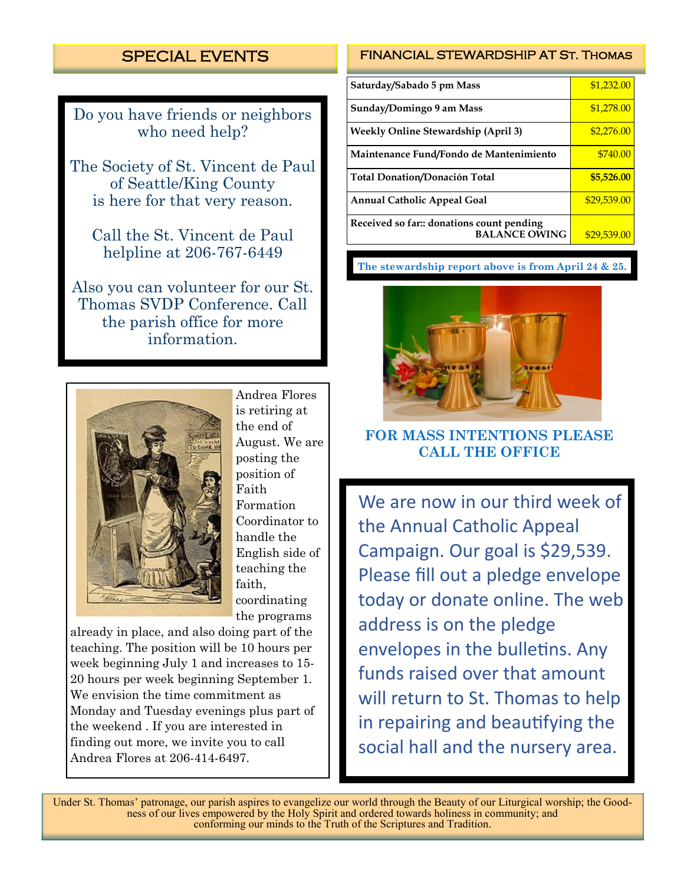# SPECIAL EVENTS

Do you have friends or neighbors who need help?

The Society of St. Vincent de Paul of Seattle/King County is here for that very reason.

Call the St. Vincent de Paul helpline at 206-767-6449

Also you can volunteer for our St. Thomas SVDP Conference. Call the parish office for more information.



Andrea Flores is retiring at the end of August. We are posting the position of Faith Formation Coordinator to handle the English side of teaching the faith, coordinating the programs

already in place, and also doing part of the teaching. The position will be 10 hours per week beginning July 1 and increases to 15- 20 hours per week beginning September 1. We envision the time commitment as Monday and Tuesday evenings plus part of the weekend . If you are interested in finding out more, we invite you to call Andrea Flores at 206-414-6497.

#### FINANCIAL STEWARDSHIP AT St. Thomas

| Saturday/Sabado 5 pm Mass                                        | \$1,232.00  |
|------------------------------------------------------------------|-------------|
| Sunday/Domingo 9 am Mass                                         | \$1,278.00  |
| <b>Weekly Online Stewardship (April 3)</b>                       | \$2,276.00  |
| Maintenance Fund/Fondo de Mantenimiento                          | \$740.00    |
| <b>Total Donation/Donación Total</b>                             | \$5,526.00  |
| <b>Annual Catholic Appeal Goal</b>                               | \$29,539.00 |
| Received so far: donations count pending<br><b>BALANCE OWING</b> | \$29,539.00 |

#### **The stewardship report above is from April 24 & 25.**



## **FOR MASS INTENTIONS PLEASE CALL THE OFFICE**

We are now in our third week of the Annual Catholic Appeal Campaign. Our goal is \$29,539. Please fill out a pledge envelope today or donate online. The web address is on the pledge envelopes in the bulletins. Any funds raised over that amount will return to St. Thomas to help in repairing and beautifying the social hall and the nursery area.

Under St. Thomas' patronage, our parish aspires to evangelize our world through the Beauty of our Liturgical worship; the Goodness of our lives empowered by the Holy Spirit and ordered towards holiness in community; and conforming our minds to the Truth of the Scriptures and Tradition.